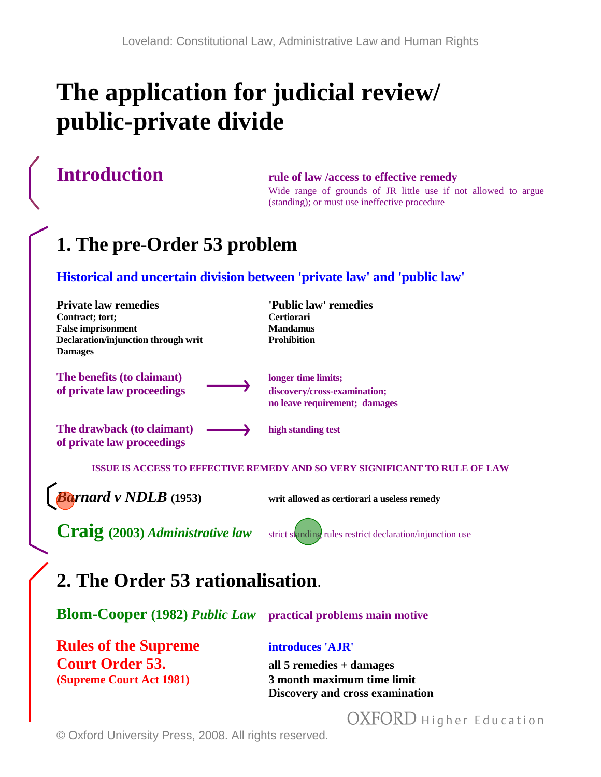# **The application for judicial review/ public-private divide**

## **Introduction rule of law /access to effective remedy**

Wide range of grounds of JR little use if not allowed to argue (standing); or must use ineffective procedure

## **1. The pre-Order 53 problem**

### **Historical and uncertain division between 'private law' and 'public law'**

| <b>Private law remedies</b><br>Contract; tort;<br><b>False imprisonment</b><br>Declaration/injunction through writ<br><b>Damages</b> | 'Public law' remedies<br><b>Certiorari</b><br><b>Mandamus</b><br><b>Prohibition</b>  |
|--------------------------------------------------------------------------------------------------------------------------------------|--------------------------------------------------------------------------------------|
| The benefits (to claimant)<br>of private law proceedings                                                                             | longer time limits;<br>discovery/cross-examination;<br>no leave requirement; damages |
| The drawback (to claimant)<br>of private law proceedings                                                                             | high standing test                                                                   |
|                                                                                                                                      | <b>ISSUE IS ACCESS TO EFFECTIVE REMEDY AND SO VERY SIGNIFICANT TO RULE OF LAW</b>    |
| <b>Barnard v NDLB</b> (1953)                                                                                                         | writ allowed as certiorari a useless remedy                                          |
| <b>Craig</b> (2003) Administrative law                                                                                               | strict standing rules restrict declaration/injunction use                            |
| 2. The Order 53 rationalisation.                                                                                                     |                                                                                      |
| <b>Blom-Cooper</b> (1982) <i>Public Law</i>                                                                                          | practical problems main motive                                                       |

**Rules of the Supreme introduces 'AJR' Court Order 53. all 5 remedies + damages**

**(Supreme Court Act 1981) 3 month maximum time limit Discovery and cross examination** 

OXFORD Higher Education

© Oxford University Press, 2008. All rights reserved.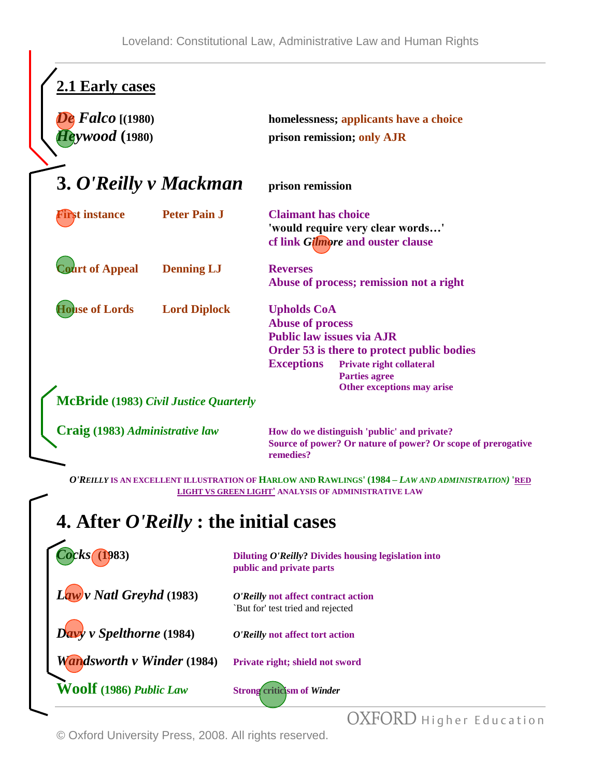| 2.1 Early cases<br>$False$ [(1980)<br><b>Heywood</b> (1980) |                                                                      | homelessness; applicants have a choice<br>prison remission; only AJR                                                                                                                                                                          |
|-------------------------------------------------------------|----------------------------------------------------------------------|-----------------------------------------------------------------------------------------------------------------------------------------------------------------------------------------------------------------------------------------------|
| 3. O'Reilly v Mackman                                       |                                                                      | prison remission                                                                                                                                                                                                                              |
| <b>First instance</b>                                       | <b>Peter Pain J</b>                                                  | <b>Claimant has choice</b><br>'would require very clear words'<br>cf link Gilmore and ouster clause                                                                                                                                           |
| <b>Court of Appeal</b>                                      | <b>Denning LJ</b>                                                    | <b>Reverses</b><br>Abuse of process; remission not a right                                                                                                                                                                                    |
| <b>House of Lords</b>                                       | <b>Lord Diplock</b><br><b>McBride</b> (1983) Civil Justice Quarterly | <b>Upholds CoA</b><br><b>Abuse of process</b><br><b>Public law issues via AJR</b><br>Order 53 is there to protect public bodies<br><b>Exceptions</b><br><b>Private right collateral</b><br><b>Parties agree</b><br>Other exceptions may arise |
| Craig (1983) Administrative law                             |                                                                      | How do we distinguish 'public' and private?<br>Source of power? Or nature of power? Or scope of prerogative<br>remedies?                                                                                                                      |
|                                                             |                                                                      | O'REILLY IS AN EXCELLENT ILLUSTRATION OF HARLOW AND RAWLINGS' (1984 - LAW AND ADMINISTRATION) 'RED                                                                                                                                            |

**LIGHT VS GREEN LIGHT' ANALYSIS OF ADMINISTRATIVE LAW**

# **4. After** *O'Reilly* **: the initial cases**

| Cocks(                            | Diluting O'Reilly? Divides housing legislation into<br>public and private parts |
|-----------------------------------|---------------------------------------------------------------------------------|
| $Law$ v Natl Greyhd (1983)        | O'Reilly not affect contract action<br>`But for' test tried and rejected        |
| $D$ avy v Spelthorne (1984)       | O'Reilly not affect tort action                                                 |
| <b>Wandsworth v Winder (1984)</b> | Private right; shield not sword                                                 |
| <b>Woolf</b> (1986) Public Law    | <b>Strong criticism of Winder</b>                                               |
|                                   |                                                                                 |

OXFORD Higher Education

© Oxford University Press, 2008. All rights reserved.